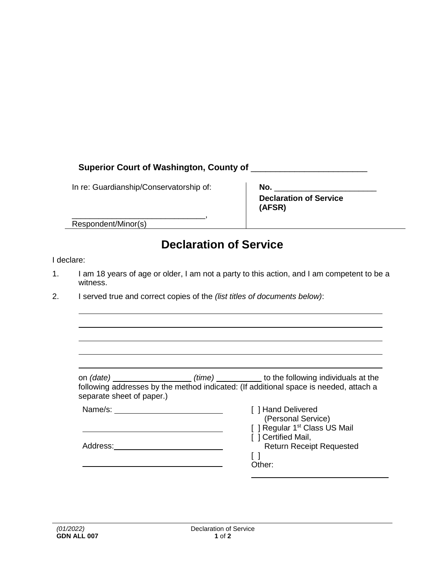## **Superior Court of Washington, County of** \_\_\_\_\_\_\_\_\_\_\_\_\_\_\_\_\_\_\_\_\_\_\_\_

In re: Guardianship/Conservatorship of:

| No.                           |  |
|-------------------------------|--|
| <b>Declaration of Service</b> |  |
| (AFSR)                        |  |

\_\_\_\_\_\_\_\_\_\_\_\_\_\_\_\_\_\_\_\_\_\_\_\_\_\_\_\_\_\_, Respondent/Minor(s)

## **Declaration of Service**

## I declare:

- 1. I am 18 years of age or older, I am not a party to this action, and I am competent to be a witness.
- 2. I served true and correct copies of the *(list titles of documents below)*:

| on <i>(date)</i>          | (time) | to the following individuals at the                                                   |
|---------------------------|--------|---------------------------------------------------------------------------------------|
| separate sheet of paper.) |        | following addresses by the method indicated: (If additional space is needed, attach a |
| Name/s:                   |        | [ ] Hand Delivered<br>(Personal Service)                                              |
|                           |        | [ ] Regular 1 <sup>st</sup> Class US Mail<br>I 1 Cartifiad Mail                       |

| Address: |  |
|----------|--|
|----------|--|

- [ ] Certified Mail,
	- Return Receipt Requested
- $\lceil$   $\rceil$ Other: